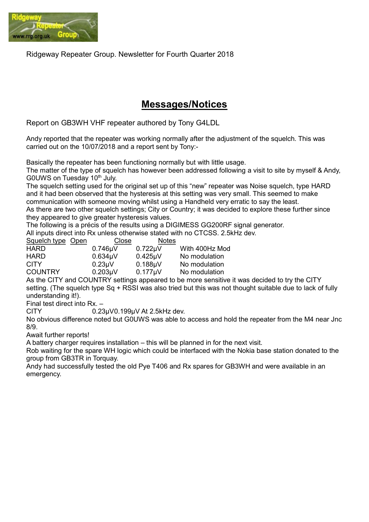

Ridgeway Repeater Group. Newsletter for Fourth Quarter 2018

# Messages/Notices

Report on GB3WH VHF repeater authored by Tony G4LDL

Andy reported that the repeater was working normally after the adjustment of the squelch. This was carried out on the 10/07/2018 and a report sent by Tony:-

Basically the repeater has been functioning normally but with little usage.

The matter of the type of squelch has however been addressed following a visit to site by myself & Andy, G0UWS on Tuesday 10<sup>th</sup> July.

The squelch setting used for the original set up of this "new" repeater was Noise squelch, type HARD and it had been observed that the hysteresis at this setting was very small. This seemed to make communication with someone moving whilst using a Handheld very erratic to say the least.

As there are two other squelch settings; City or Country; it was decided to explore these further since they appeared to give greater hysteresis values.

The following is a précis of the results using a DIGIMESS GG200RF signal generator.

All inputs direct into Rx unless otherwise stated with no CTCSS. 2.5kHz dev.

| Squelch type Open | Close                | <b>Notes</b>  |                |
|-------------------|----------------------|---------------|----------------|
| <b>HARD</b>       | $0.746\mu$ V         | $0.722 \mu V$ | With 400Hz Mod |
| <b>HARD</b>       | 0.634 <sub>µ</sub> V | $0.425\mu V$  | No modulation  |
| <b>CITY</b>       | $0.23 \mu V$         | $0.188\mu$ V  | No modulation  |
| <b>COUNTRY</b>    | $0.203\mu V$         | $0.177 \mu V$ | No modulation  |

As the CITY and COUNTRY settings appeared to be more sensitive it was decided to try the CITY setting. (The squelch type Sq + RSSI was also tried but this was not thought suitable due to lack of fully understanding it!).

Final test direct into Rx. –

CITY 0.23µV0.199µV At 2.5kHz dev.

No obvious difference noted but G0UWS was able to access and hold the repeater from the M4 near Jnc 8/9.

Await further reports!

A battery charger requires installation – this will be planned in for the next visit.

Rob waiting for the spare WH logic which could be interfaced with the Nokia base station donated to the group from GB3TR in Torquay.

Andy had successfully tested the old Pye T406 and Rx spares for GB3WH and were available in an emergency.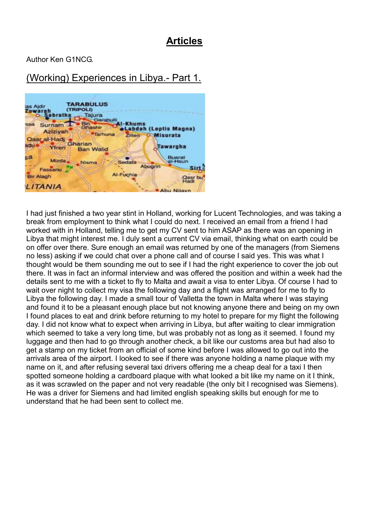## Articles

#### Author Ken G1NCG.

### (Working) Experiences in Libya.- Part 1.



I had just finished a two year stint in Holland, working for Lucent Technologies, and was taking a break from employment to think what I could do next. I received an email from a friend I had worked with in Holland, telling me to get my CV sent to him ASAP as there was an opening in Libya that might interest me. I duly sent a current CV via email, thinking what on earth could be on offer over there. Sure enough an email was returned by one of the managers (from Siemens no less) asking if we could chat over a phone call and of course I said yes. This was what I thought would be them sounding me out to see if I had the right experience to cover the job out there. It was in fact an informal interview and was offered the position and within a week had the details sent to me with a ticket to fly to Malta and await a visa to enter Libya. Of course I had to wait over night to collect my visa the following day and a flight was arranged for me to fly to Libya the following day. I made a small tour of Valletta the town in Malta where I was staying and found it to be a pleasant enough place but not knowing anyone there and being on my own I found places to eat and drink before returning to my hotel to prepare for my flight the following day. I did not know what to expect when arriving in Libya, but after waiting to clear immigration which seemed to take a very long time, but was probably not as long as it seemed. I found my luggage and then had to go through another check, a bit like our customs area but had also to get a stamp on my ticket from an official of some kind before I was allowed to go out into the arrivals area of the airport. I looked to see if there was anyone holding a name plaque with my name on it, and after refusing several taxi drivers offering me a cheap deal for a taxi I then spotted someone holding a cardboard plaque with what looked a bit like my name on it I think, as it was scrawled on the paper and not very readable (the only bit I recognised was Siemens). He was a driver for Siemens and had limited english speaking skills but enough for me to understand that he had been sent to collect me.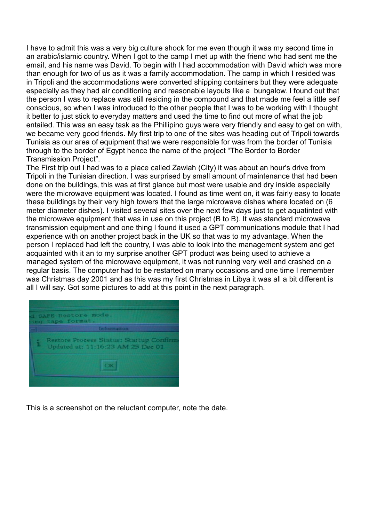I have to admit this was a very big culture shock for me even though it was my second time in an arabic/islamic country. When I got to the camp I met up with the friend who had sent me the email, and his name was David. To begin with I had accommodation with David which was more than enough for two of us as it was a family accommodation. The camp in which I resided was in Tripoli and the accommodations were converted shipping containers but they were adequate especially as they had air conditioning and reasonable layouts like a bungalow. I found out that the person I was to replace was still residing in the compound and that made me feel a little self conscious, so when I was introduced to the other people that I was to be working with I thought it better to just stick to everyday matters and used the time to find out more of what the job entailed. This was an easy task as the Phillipino guys were very friendly and easy to get on with, we became very good friends. My first trip to one of the sites was heading out of Tripoli towards Tunisia as our area of equipment that we were responsible for was from the border of Tunisia through to the border of Egypt hence the name of the project "The Border to Border Transmission Project".

The First trip out I had was to a place called Zawiah (City) it was about an hour's drive from Tripoli in the Tunisian direction. I was surprised by small amount of maintenance that had been done on the buildings, this was at first glance but most were usable and dry inside especially were the microwave equipment was located. I found as time went on, it was fairly easy to locate these buildings by their very high towers that the large microwave dishes where located on (6 meter diameter dishes). I visited several sites over the next few days just to get aquatinted with the microwave equipment that was in use on this project (B to B). It was standard microwave transmission equipment and one thing I found it used a GPT communications module that I had experience with on another project back in the UK so that was to my advantage. When the person I replaced had left the country, I was able to look into the management system and get acquainted with it an to my surprise another GPT product was being used to achieve a managed system of the microwave equipment, it was not running very well and crashed on a regular basis. The computer had to be restarted on many occasions and one time I remember was Christmas day 2001 and as this was my first Christmas in Libya it was all a bit different is all I will say. Got some pictures to add at this point in the next paragraph.



This is a screenshot on the reluctant computer, note the date.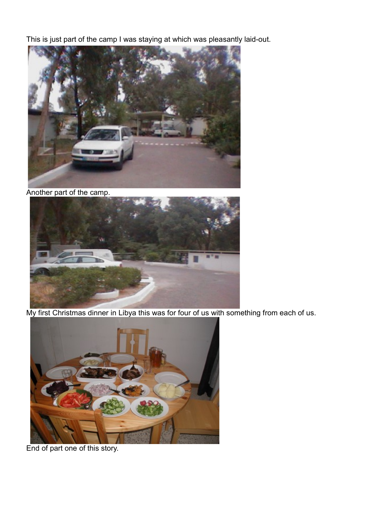This is just part of the camp I was staying at which was pleasantly laid-out.



Another part of the camp.



My first Christmas dinner in Libya this was for four of us with something from each of us.



End of part one of this story.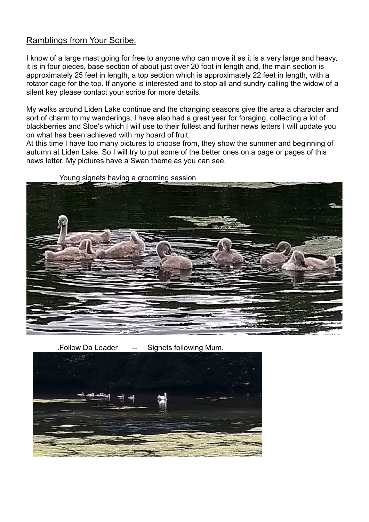### Ramblings from Your Scribe.

I know of a large mast going for free to anyone who can move it as it is a very large and heavy, it is in four pieces, base section of about just over 20 foot in length and, the main section is approximately 25 feet in length, a top section which is approximately 22 feet in length, with a rotator cage for the top. If anyone is interested and to stop all and sundry calling the widow of a silent key please contact your scribe for more details.

My walks around Liden Lake continue and the changing seasons give the area a character and sort of charm to my wanderings, I have also had a great year for foraging, collecting a lot of blackberries and Sloe's which I will use to their fullest and further news letters I will update you on what has been achieved with my hoard of fruit.

At this time I have too many pictures to choose from, they show the summer and beginning of autumn at Liden Lake. So I will try to put some of the better ones on a page or pages of this news letter. My pictures have a Swan theme as you can see.



Young signets having a grooming session

.Follow Da Leader -- Signets following Mum.

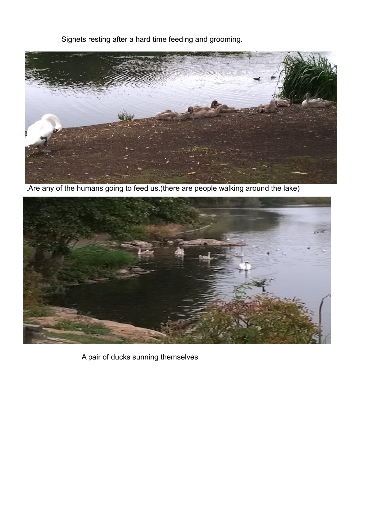Signets resting after a hard time feeding and grooming.



.Are any of the humans going to feed us.(there are people walking around the lake)



A pair of ducks sunning themselves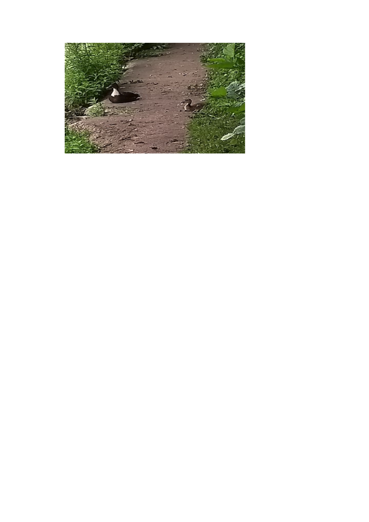